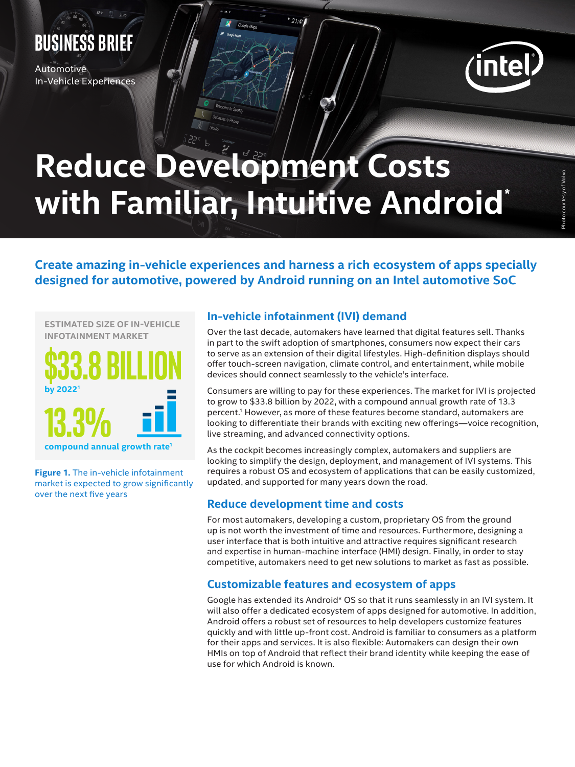### **BUSINESS brief**

**Automotive** In-Vehicle Experiences



# **Reduce Development Costs with Familiar, Intuitive Android\***

 $21:40$ 

**Create amazing in-vehicle experiences and harness a rich ecosystem of apps specially designed for automotive, powered by Android running on an Intel automotive SoC**

**ESTIMATED SIZE OF IN-VEHICLE INFOTAINMENT MARKET**



**Figure 1.** The in-vehicle infotainment market is expected to grow significantly over the next five years

### **In-vehicle infotainment (IVI) demand**

Over the last decade, automakers have learned that digital features sell. Thanks in part to the swift adoption of smartphones, consumers now expect their cars to serve as an extension of their digital lifestyles. High-definition displays should offer touch-screen navigation, climate control, and entertainment, while mobile devices should connect seamlessly to the vehicle's interface.

Consumers are willing to pay for these experiences. The market for IVI is projected to grow to \$33.8 billion by 2022, with a compound annual growth rate of 13.3 percent.1 However, as more of these features become standard, automakers are looking to differentiate their brands with exciting new offerings—voice recognition, live streaming, and advanced connectivity options.

As the cockpit becomes increasingly complex, automakers and suppliers are looking to simplify the design, deployment, and management of IVI systems. This requires a robust OS and ecosystem of applications that can be easily customized, updated, and supported for many years down the road.

### **Reduce development time and costs**

For most automakers, developing a custom, proprietary OS from the ground up is not worth the investment of time and resources. Furthermore, designing a user interface that is both intuitive and attractive requires significant research and expertise in human-machine interface (HMI) design. Finally, in order to stay competitive, automakers need to get new solutions to market as fast as possible.

### **Customizable features and ecosystem of apps**

Google has extended its Android\* OS so that it runs seamlessly in an IVI system. It will also offer a dedicated ecosystem of apps designed for automotive. In addition, Android offers a robust set of resources to help developers customize features quickly and with little up-front cost. Android is familiar to consumers as a platform for their apps and services. It is also flexible: Automakers can design their own HMIs on top of Android that reflect their brand identity while keeping the ease of use for which Android is known.